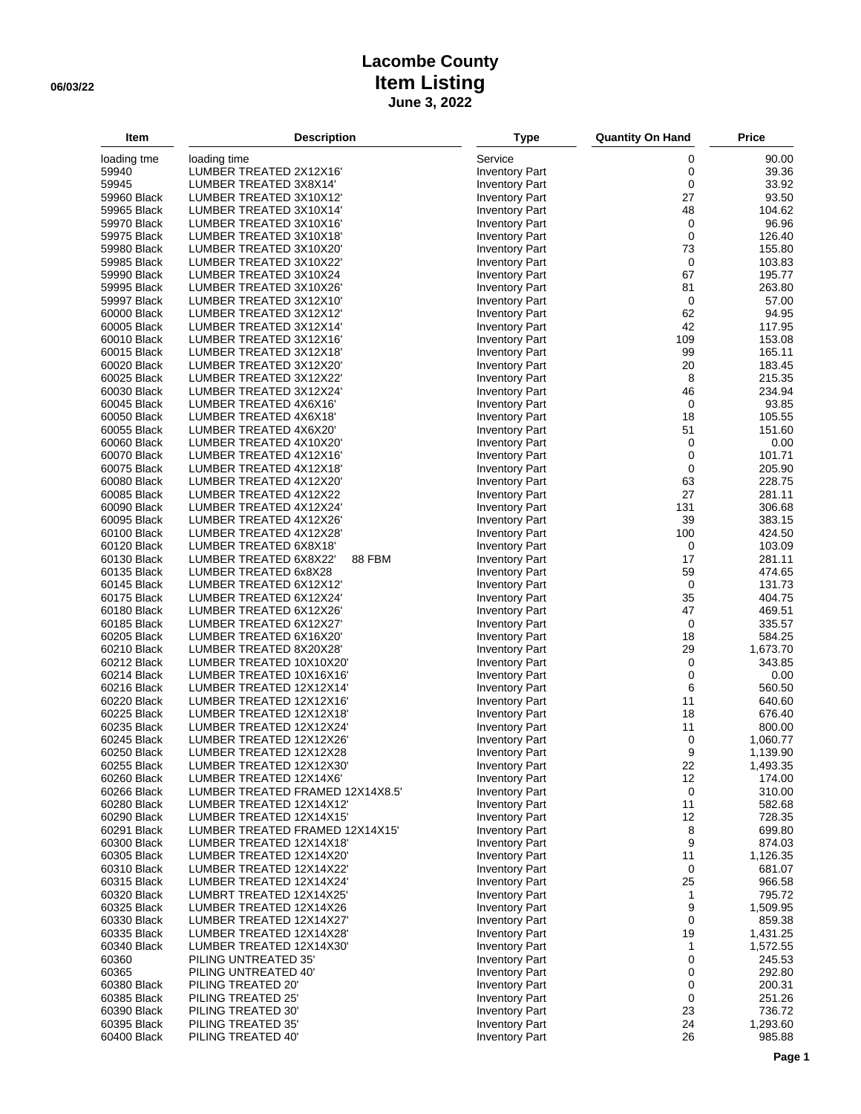## **Lacombe County 06/03/22 Item Listing June 3, 2022**

| Item                       | <b>Description</b>                                           | <b>Type</b>                                    | <b>Quantity On Hand</b> | <b>Price</b>       |
|----------------------------|--------------------------------------------------------------|------------------------------------------------|-------------------------|--------------------|
| loading tme                | loading time                                                 | Service                                        | 0                       | 90.00              |
| 59940                      | LUMBER TREATED 2X12X16'                                      | <b>Inventory Part</b>                          | 0                       | 39.36              |
| 59945                      | LUMBER TREATED 3X8X14'                                       | <b>Inventory Part</b>                          | 0                       | 33.92              |
| 59960 Black                | LUMBER TREATED 3X10X12                                       | <b>Inventory Part</b>                          | 27                      | 93.50              |
| 59965 Black                | LUMBER TREATED 3X10X14'                                      | <b>Inventory Part</b>                          | 48                      | 104.62             |
| 59970 Black<br>59975 Black | LUMBER TREATED 3X10X16'<br>LUMBER TREATED 3X10X18'           | <b>Inventory Part</b><br><b>Inventory Part</b> | 0<br>$\mathbf 0$        | 96.96<br>126.40    |
| 59980 Black                | LUMBER TREATED 3X10X20'                                      | <b>Inventory Part</b>                          | 73                      | 155.80             |
| 59985 Black                | LUMBER TREATED 3X10X22'                                      | <b>Inventory Part</b>                          | $\mathbf 0$             | 103.83             |
| 59990 Black                | LUMBER TREATED 3X10X24                                       | <b>Inventory Part</b>                          | 67                      | 195.77             |
| 59995 Black                | LUMBER TREATED 3X10X26'                                      | <b>Inventory Part</b>                          | 81                      | 263.80             |
| 59997 Black                | LUMBER TREATED 3X12X10'                                      | <b>Inventory Part</b>                          | $\mathbf 0$             | 57.00              |
| 60000 Black                | LUMBER TREATED 3X12X12'                                      | <b>Inventory Part</b>                          | 62                      | 94.95              |
| 60005 Black                | LUMBER TREATED 3X12X14'                                      | <b>Inventory Part</b>                          | 42                      | 117.95             |
| 60010 Black                | LUMBER TREATED 3X12X16"                                      | <b>Inventory Part</b>                          | 109                     | 153.08             |
| 60015 Black                | LUMBER TREATED 3X12X18'                                      | <b>Inventory Part</b>                          | 99                      | 165.11             |
| 60020 Black<br>60025 Black | LUMBER TREATED 3X12X20'<br>LUMBER TREATED 3X12X22'           | <b>Inventory Part</b>                          | 20<br>8                 | 183.45             |
| 60030 Black                | LUMBER TREATED 3X12X24'                                      | <b>Inventory Part</b><br><b>Inventory Part</b> | 46                      | 215.35<br>234.94   |
| 60045 Black                | LUMBER TREATED 4X6X16'                                       | <b>Inventory Part</b>                          | 0                       | 93.85              |
| 60050 Black                | LUMBER TREATED 4X6X18'                                       | <b>Inventory Part</b>                          | 18                      | 105.55             |
| 60055 Black                | LUMBER TREATED 4X6X20'                                       | <b>Inventory Part</b>                          | 51                      | 151.60             |
| 60060 Black                | LUMBER TREATED 4X10X20'                                      | <b>Inventory Part</b>                          | 0                       | 0.00               |
| 60070 Black                | LUMBER TREATED 4X12X16'                                      | <b>Inventory Part</b>                          | $\mathbf 0$             | 101.71             |
| 60075 Black                | LUMBER TREATED 4X12X18'                                      | <b>Inventory Part</b>                          | 0                       | 205.90             |
| 60080 Black                | LUMBER TREATED 4X12X20'                                      | <b>Inventory Part</b>                          | 63                      | 228.75             |
| 60085 Black                | LUMBER TREATED 4X12X22                                       | <b>Inventory Part</b>                          | 27                      | 281.11             |
| 60090 Black                | LUMBER TREATED 4X12X24'                                      | <b>Inventory Part</b>                          | 131                     | 306.68             |
| 60095 Black<br>60100 Black | LUMBER TREATED 4X12X26'<br>LUMBER TREATED 4X12X28'           | <b>Inventory Part</b><br><b>Inventory Part</b> | 39<br>100               | 383.15<br>424.50   |
| 60120 Black                | LUMBER TREATED 6X8X18'                                       | <b>Inventory Part</b>                          | $\mathbf 0$             | 103.09             |
| 60130 Black                | 88 FBM<br>LUMBER TREATED 6X8X22'                             | <b>Inventory Part</b>                          | 17                      | 281.11             |
| 60135 Black                | LUMBER TREATED 6x8X28                                        | <b>Inventory Part</b>                          | 59                      | 474.65             |
| 60145 Black                | LUMBER TREATED 6X12X12'                                      | <b>Inventory Part</b>                          | $\mathbf 0$             | 131.73             |
| 60175 Black                | LUMBER TREATED 6X12X24'                                      | <b>Inventory Part</b>                          | 35                      | 404.75             |
| 60180 Black                | LUMBER TREATED 6X12X26'                                      | <b>Inventory Part</b>                          | 47                      | 469.51             |
| 60185 Black                | LUMBER TREATED 6X12X27'                                      | <b>Inventory Part</b>                          | $\mathbf 0$             | 335.57             |
| 60205 Black                | LUMBER TREATED 6X16X20'                                      | <b>Inventory Part</b>                          | 18                      | 584.25             |
| 60210 Black                | LUMBER TREATED 8X20X28'                                      | <b>Inventory Part</b>                          | 29                      | 1,673.70           |
| 60212 Black<br>60214 Black | LUMBER TREATED 10X10X20'<br>LUMBER TREATED 10X16X16'         | <b>Inventory Part</b><br><b>Inventory Part</b> | 0<br>0                  | 343.85<br>0.00     |
| 60216 Black                | LUMBER TREATED 12X12X14'                                     | <b>Inventory Part</b>                          | 6                       | 560.50             |
| 60220 Black                | LUMBER TREATED 12X12X16'                                     | <b>Inventory Part</b>                          | 11                      | 640.60             |
| 60225 Black                | LUMBER TREATED 12X12X18'                                     | <b>Inventory Part</b>                          | 18                      | 676.40             |
| 60235 Black                | LUMBER TREATED 12X12X24'                                     | <b>Inventory Part</b>                          | 11                      | 800.00             |
| 60245 Black                | LUMBER TREATED 12X12X26'                                     | <b>Inventory Part</b>                          | 0                       | 1,060.77           |
| 60250 Black                | LUMBER TREATED 12X12X28                                      | <b>Inventory Part</b>                          | 9                       | 1,139.90           |
| 60255 Black                | LUMBER TREATED 12X12X30                                      | <b>Inventory Part</b>                          | 22                      | 1,493.35           |
| 60260 Black                | LUMBER TREATED 12X14X6'                                      | <b>Inventory Part</b>                          | 12                      | 174.00             |
| 60266 Black<br>60280 Black | LUMBER TREATED FRAMED 12X14X8.5'<br>LUMBER TREATED 12X14X12' | <b>Inventory Part</b><br><b>Inventory Part</b> | $\mathbf 0$<br>11       | 310.00<br>582.68   |
| 60290 Black                | LUMBER TREATED 12X14X15'                                     | <b>Inventory Part</b>                          | 12                      | 728.35             |
| 60291 Black                | LUMBER TREATED FRAMED 12X14X15'                              | <b>Inventory Part</b>                          | 8                       | 699.80             |
| 60300 Black                | LUMBER TREATED 12X14X18'                                     | <b>Inventory Part</b>                          | 9                       | 874.03             |
| 60305 Black                | LUMBER TREATED 12X14X20'                                     | <b>Inventory Part</b>                          | 11                      | 1,126.35           |
| 60310 Black                | LUMBER TREATED 12X14X22'                                     | <b>Inventory Part</b>                          | 0                       | 681.07             |
| 60315 Black                | LUMBER TREATED 12X14X24'                                     | <b>Inventory Part</b>                          | 25                      | 966.58             |
| 60320 Black                | LUMBRT TREATED 12X14X25'                                     | <b>Inventory Part</b>                          | 1                       | 795.72             |
| 60325 Black                | LUMBER TREATED 12X14X26                                      | <b>Inventory Part</b>                          | 9                       | 1,509.95           |
| 60330 Black<br>60335 Black | LUMBER TREATED 12X14X27'<br>LUMBER TREATED 12X14X28'         | <b>Inventory Part</b><br><b>Inventory Part</b> | 0<br>19                 | 859.38<br>1,431.25 |
| 60340 Black                | LUMBER TREATED 12X14X30'                                     | <b>Inventory Part</b>                          | 1                       | 1,572.55           |
| 60360                      | PILING UNTREATED 35'                                         | <b>Inventory Part</b>                          | 0                       | 245.53             |
| 60365                      | PILING UNTREATED 40'                                         | <b>Inventory Part</b>                          | 0                       | 292.80             |
| 60380 Black                | PILING TREATED 20'                                           | <b>Inventory Part</b>                          | 0                       | 200.31             |
| 60385 Black                | PILING TREATED 25'                                           | <b>Inventory Part</b>                          | $\pmb{0}$               | 251.26             |
| 60390 Black                | PILING TREATED 30'                                           | <b>Inventory Part</b>                          | 23                      | 736.72             |
| 60395 Black                | PILING TREATED 35'                                           | <b>Inventory Part</b>                          | 24                      | 1,293.60           |
| 60400 Black                | PILING TREATED 40'                                           | <b>Inventory Part</b>                          | 26                      | 985.88             |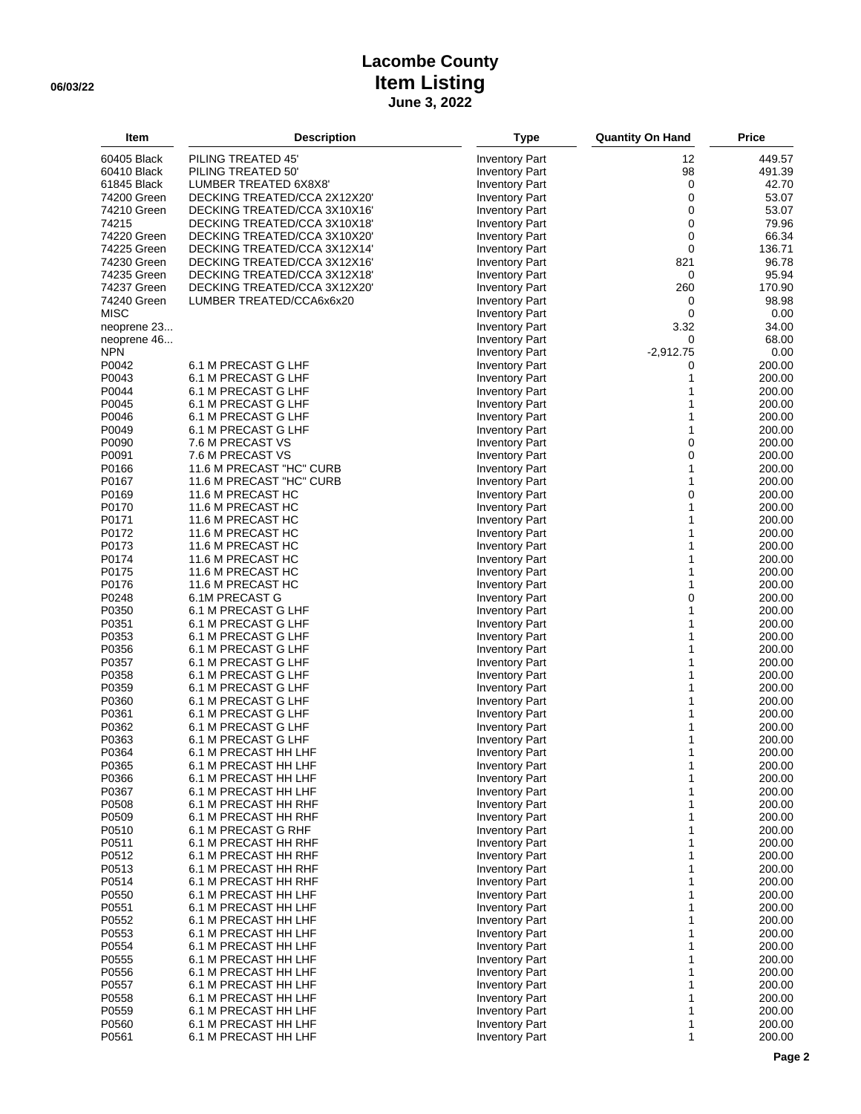## **Lacombe County 06/03/22 Item Listing June 3, 2022**

| Item           | <b>Description</b>                          | <b>Type</b>                                    | <b>Quantity On Hand</b> | <b>Price</b>     |
|----------------|---------------------------------------------|------------------------------------------------|-------------------------|------------------|
| 60405 Black    | PILING TREATED 45'                          | <b>Inventory Part</b>                          | 12                      | 449.57           |
| 60410 Black    | PILING TREATED 50'                          | <b>Inventory Part</b>                          | 98                      | 491.39           |
| 61845 Black    | LUMBER TREATED 6X8X8'                       | <b>Inventory Part</b>                          | 0                       | 42.70            |
| 74200 Green    | DECKING TREATED/CCA 2X12X20'                | <b>Inventory Part</b>                          | $\pmb{0}$               | 53.07            |
| 74210 Green    | DECKING TREATED/CCA 3X10X16'                | <b>Inventory Part</b>                          | 0                       | 53.07            |
| 74215          | DECKING TREATED/CCA 3X10X18'                | <b>Inventory Part</b>                          | 0                       | 79.96            |
| 74220 Green    | DECKING TREATED/CCA 3X10X20'                | <b>Inventory Part</b>                          | 0                       | 66.34            |
| 74225 Green    | DECKING TREATED/CCA 3X12X14'                | <b>Inventory Part</b>                          | $\mathbf 0$             | 136.71           |
| 74230 Green    | DECKING TREATED/CCA 3X12X16'                | <b>Inventory Part</b>                          | 821                     | 96.78            |
| 74235 Green    | DECKING TREATED/CCA 3X12X18'                | <b>Inventory Part</b>                          | 0                       | 95.94            |
| 74237 Green    | DECKING TREATED/CCA 3X12X20'                | <b>Inventory Part</b>                          | 260                     | 170.90           |
| 74240 Green    | LUMBER TREATED/CCA6x6x20                    | <b>Inventory Part</b>                          | 0                       | 98.98            |
| <b>MISC</b>    |                                             | <b>Inventory Part</b>                          | 0                       | 0.00             |
| neoprene 23    |                                             | <b>Inventory Part</b>                          | 3.32                    | 34.00            |
| neoprene 46    |                                             | <b>Inventory Part</b>                          | 0                       | 68.00            |
| <b>NPN</b>     |                                             | <b>Inventory Part</b>                          | $-2,912.75$             | 0.00             |
| P0042          | 6.1 M PRECAST G LHF                         | <b>Inventory Part</b>                          | 0                       | 200.00           |
| P0043          | 6.1 M PRECAST G LHF                         | <b>Inventory Part</b>                          | 1                       | 200.00           |
| P0044          | 6.1 M PRECAST G LHF                         | <b>Inventory Part</b>                          | 1<br>1                  | 200.00           |
| P0045<br>P0046 | 6.1 M PRECAST G LHF<br>6.1 M PRECAST G LHF  | <b>Inventory Part</b>                          | 1                       | 200.00<br>200.00 |
| P0049          | 6.1 M PRECAST G LHF                         | <b>Inventory Part</b><br><b>Inventory Part</b> | 1                       | 200.00           |
| P0090          | 7.6 M PRECAST VS                            | <b>Inventory Part</b>                          | $\mathbf 0$             | 200.00           |
| P0091          | 7.6 M PRECAST VS                            | <b>Inventory Part</b>                          | 0                       | 200.00           |
| P0166          | 11.6 M PRECAST "HC" CURB                    | <b>Inventory Part</b>                          | $\mathbf{1}$            | 200.00           |
| P0167          | 11.6 M PRECAST "HC" CURB                    | <b>Inventory Part</b>                          | 1                       | 200.00           |
| P0169          | 11.6 M PRECAST HC                           | <b>Inventory Part</b>                          | $\mathbf 0$             | 200.00           |
| P0170          | 11.6 M PRECAST HC                           | <b>Inventory Part</b>                          | 1                       | 200.00           |
| P0171          | 11.6 M PRECAST HC                           | <b>Inventory Part</b>                          | $\mathbf{1}$            | 200.00           |
| P0172          | 11.6 M PRECAST HC                           | <b>Inventory Part</b>                          | 1                       | 200.00           |
| P0173          | 11.6 M PRECAST HC                           | <b>Inventory Part</b>                          | 1                       | 200.00           |
| P0174          | 11.6 M PRECAST HC                           | <b>Inventory Part</b>                          | 1                       | 200.00           |
| P0175          | 11.6 M PRECAST HC                           | <b>Inventory Part</b>                          | 1                       | 200.00           |
| P0176          | 11.6 M PRECAST HC                           | <b>Inventory Part</b>                          | 1                       | 200.00           |
| P0248          | 6.1M PRECAST G                              | <b>Inventory Part</b>                          | 0                       | 200.00           |
| P0350          | 6.1 M PRECAST G LHF                         | <b>Inventory Part</b>                          | 1                       | 200.00           |
| P0351          | 6.1 M PRECAST G LHF                         | <b>Inventory Part</b>                          | 1                       | 200.00           |
| P0353<br>P0356 | 6.1 M PRECAST G LHF<br>6.1 M PRECAST G LHF  | <b>Inventory Part</b>                          | 1<br>1                  | 200.00<br>200.00 |
| P0357          | 6.1 M PRECAST G LHF                         | <b>Inventory Part</b><br><b>Inventory Part</b> | 1                       | 200.00           |
| P0358          | 6.1 M PRECAST G LHF                         | <b>Inventory Part</b>                          | 1                       | 200.00           |
| P0359          | 6.1 M PRECAST G LHF                         | <b>Inventory Part</b>                          | 1                       | 200.00           |
| P0360          | 6.1 M PRECAST G LHF                         | <b>Inventory Part</b>                          | 1                       | 200.00           |
| P0361          | 6.1 M PRECAST G LHF                         | <b>Inventory Part</b>                          | 1                       | 200.00           |
| P0362          | 6.1 M PRECAST G LHF                         | <b>Inventory Part</b>                          | 1                       | 200.00           |
| P0363          | 6.1 M PRECAST G LHF                         | <b>Inventory Part</b>                          | 1                       | 200.00           |
| P0364          | 6.1 M PRECAST HH LHF                        | <b>Inventory Part</b>                          | 1                       | 200.00           |
| P0365          | 6.1 M PRECAST HH LHF                        | <b>Inventory Part</b>                          | 1                       | 200.00           |
| P0366          | 6.1 M PRECAST HH LHF                        | <b>Inventory Part</b>                          | 1                       | 200.00           |
| P0367          | 6.1 M PRECAST HH LHF                        | <b>Inventory Part</b>                          | 1                       | 200.00           |
| P0508          | 6.1 M PRECAST HH RHF                        | <b>Inventory Part</b>                          | 1                       | 200.00           |
| P0509          | 6.1 M PRECAST HH RHF                        | <b>Inventory Part</b>                          | 1                       | 200.00           |
| P0510<br>P0511 | 6.1 M PRECAST G RHF<br>6.1 M PRECAST HH RHF | <b>Inventory Part</b><br><b>Inventory Part</b> | 1<br>1                  | 200.00           |
| P0512          | 6.1 M PRECAST HH RHF                        | <b>Inventory Part</b>                          | 1                       | 200.00<br>200.00 |
| P0513          | 6.1 M PRECAST HH RHF                        | <b>Inventory Part</b>                          | 1                       | 200.00           |
| P0514          | 6.1 M PRECAST HH RHF                        | <b>Inventory Part</b>                          | 1                       | 200.00           |
| P0550          | 6.1 M PRECAST HH LHF                        | <b>Inventory Part</b>                          | 1                       | 200.00           |
| P0551          | 6.1 M PRECAST HH LHF                        | <b>Inventory Part</b>                          | 1                       | 200.00           |
| P0552          | 6.1 M PRECAST HH LHF                        | <b>Inventory Part</b>                          | 1                       | 200.00           |
| P0553          | 6.1 M PRECAST HH LHF                        | <b>Inventory Part</b>                          | 1                       | 200.00           |
| P0554          | 6.1 M PRECAST HH LHF                        | <b>Inventory Part</b>                          | 1                       | 200.00           |
| P0555          | 6.1 M PRECAST HH LHF                        | <b>Inventory Part</b>                          | 1                       | 200.00           |
| P0556          | 6.1 M PRECAST HH LHF                        | <b>Inventory Part</b>                          | 1                       | 200.00           |
| P0557          | 6.1 M PRECAST HH LHF                        | <b>Inventory Part</b>                          | 1                       | 200.00           |
| P0558          | 6.1 M PRECAST HH LHF                        | <b>Inventory Part</b>                          | 1                       | 200.00           |
| P0559          | 6.1 M PRECAST HH LHF                        | <b>Inventory Part</b>                          | 1                       | 200.00           |
| P0560          | 6.1 M PRECAST HH LHF                        | <b>Inventory Part</b>                          | 1<br>1                  | 200.00           |
| P0561          | 6.1 M PRECAST HH LHF                        | <b>Inventory Part</b>                          |                         | 200.00           |